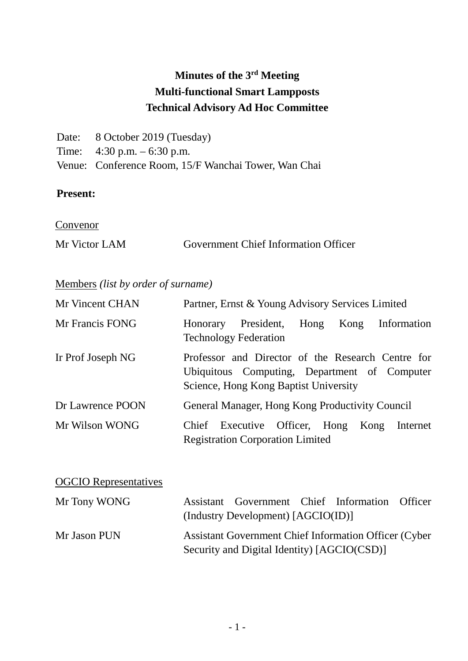# **Minutes of the 3rd Meeting Multi-functional Smart Lampposts Technical Advisory Ad Hoc Committee**

| Date: 8 October 2019 (Tuesday)                       |
|------------------------------------------------------|
| Time: $4:30 \text{ p.m.} - 6:30 \text{ p.m.}$        |
| Venue: Conference Room, 15/F Wanchai Tower, Wan Chai |

## **Present:**

**Convenor** 

| Mr Victor LAM | <b>Government Chief Information Officer</b> |  |
|---------------|---------------------------------------------|--|
|               |                                             |  |

## Members *(list by order of surname)*

| Mr Vincent CHAN              |          | Partner, Ernst & Young Advisory Services Limited |      |      |                                                                                                   |
|------------------------------|----------|--------------------------------------------------|------|------|---------------------------------------------------------------------------------------------------|
| Mr Francis FONG              | Honorary | President,<br><b>Technology Federation</b>       | Hong | Kong | Information                                                                                       |
| Ir Prof Joseph NG            |          | Science, Hong Kong Baptist University            |      |      | Professor and Director of the Research Centre for<br>Ubiquitous Computing, Department of Computer |
| Dr Lawrence POON             |          | General Manager, Hong Kong Productivity Council  |      |      |                                                                                                   |
| Mr Wilson WONG               |          | <b>Registration Corporation Limited</b>          |      |      | Chief Executive Officer, Hong Kong Internet                                                       |
| <b>OGCIO</b> Representatives |          |                                                  |      |      |                                                                                                   |

| Mr Tony WONG | Assistant Government Chief Information Officer                |
|--------------|---------------------------------------------------------------|
|              | (Industry Development) [AGCIO(ID)]                            |
| Mr Jason PUN | <b>Assistant Government Chief Information Officer (Cyber)</b> |
|              | Security and Digital Identity) [AGCIO(CSD)]                   |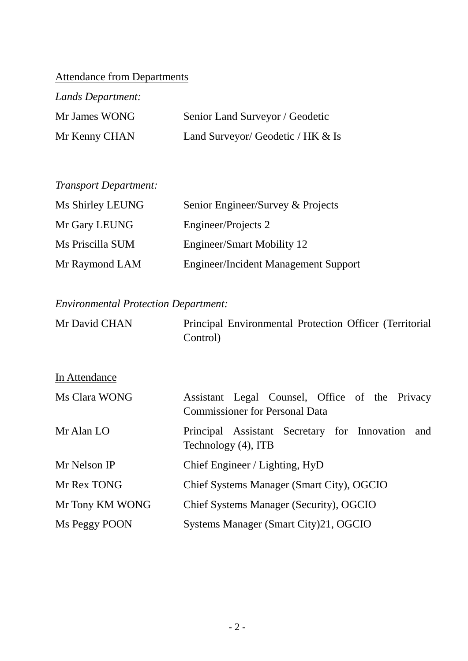# Attendance from Departments

| Lands Department: |                                   |
|-------------------|-----------------------------------|
| Mr James WONG     | Senior Land Surveyor / Geodetic   |
| Mr Kenny CHAN     | Land Surveyor/ Geodetic / HK & Is |

| Ms Shirley LEUNG | Senior Engineer/Survey & Projects           |
|------------------|---------------------------------------------|
| Mr Gary LEUNG    | Engineer/Projects 2                         |
| Ms Priscilla SUM | Engineer/Smart Mobility 12                  |
| Mr Raymond LAM   | <b>Engineer/Incident Management Support</b> |

# *Environmental Protection Department:*

| Mr David CHAN   | Principal Environmental Protection Officer (Territorial<br>Control)                     |  |  |  |
|-----------------|-----------------------------------------------------------------------------------------|--|--|--|
| In Attendance   |                                                                                         |  |  |  |
| Ms Clara WONG   | Assistant Legal Counsel, Office of the Privacy<br><b>Commissioner for Personal Data</b> |  |  |  |
| Mr Alan LO      | Principal Assistant Secretary for Innovation<br>and<br>Technology (4), ITB              |  |  |  |
| Mr Nelson IP    | Chief Engineer / Lighting, HyD                                                          |  |  |  |
| Mr Rex TONG     | Chief Systems Manager (Smart City), OGCIO                                               |  |  |  |
| Mr Tony KM WONG | Chief Systems Manager (Security), OGCIO                                                 |  |  |  |
| Ms Peggy POON   | Systems Manager (Smart City)21, OGCIO                                                   |  |  |  |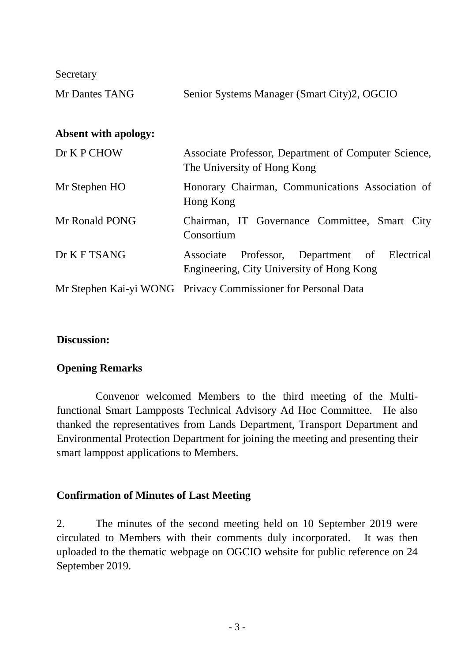Secretary

| Mr Dantes TANG              | Senior Systems Manager (Smart City)2, OGCIO                                                   |
|-----------------------------|-----------------------------------------------------------------------------------------------|
| <b>Absent with apology:</b> |                                                                                               |
| Dr K P CHOW                 | Associate Professor, Department of Computer Science,<br>The University of Hong Kong           |
| Mr Stephen HO               | Honorary Chairman, Communications Association of<br>Hong Kong                                 |
| Mr Ronald PONG              | Chairman, IT Governance Committee, Smart City<br>Consortium                                   |
| Dr K F TSANG                | Professor, Department of Electrical<br>Associate<br>Engineering, City University of Hong Kong |
|                             | Mr Stephen Kai-yi WONG Privacy Commissioner for Personal Data                                 |

#### **Discussion:**

#### **Opening Remarks**

Convenor welcomed Members to the third meeting of the Multifunctional Smart Lampposts Technical Advisory Ad Hoc Committee. He also thanked the representatives from Lands Department, Transport Department and Environmental Protection Department for joining the meeting and presenting their smart lamppost applications to Members.

#### **Confirmation of Minutes of Last Meeting**

2. The minutes of the second meeting held on 10 September 2019 were circulated to Members with their comments duly incorporated. It was then uploaded to the thematic webpage on OGCIO website for public reference on 24 September 2019.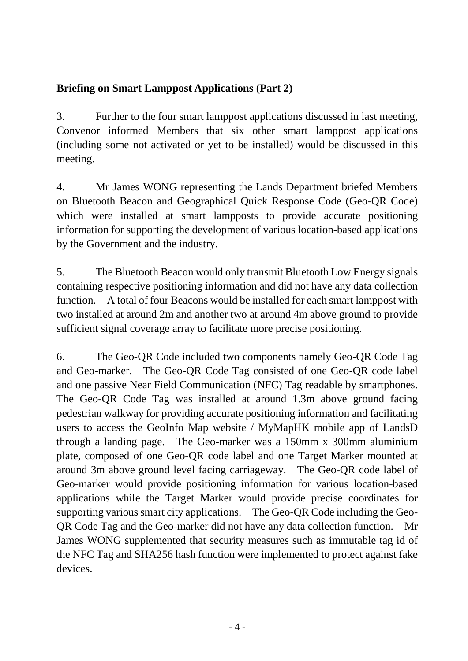## **Briefing on Smart Lamppost Applications (Part 2)**

3. Further to the four smart lamppost applications discussed in last meeting, Convenor informed Members that six other smart lamppost applications (including some not activated or yet to be installed) would be discussed in this meeting.

4. Mr James WONG representing the Lands Department briefed Members on Bluetooth Beacon and Geographical Quick Response Code (Geo-QR Code) which were installed at smart lampposts to provide accurate positioning information for supporting the development of various location-based applications by the Government and the industry.

5. The Bluetooth Beacon would only transmit Bluetooth Low Energy signals containing respective positioning information and did not have any data collection function. A total of four Beacons would be installed for each smart lamppost with two installed at around 2m and another two at around 4m above ground to provide sufficient signal coverage array to facilitate more precise positioning.

6. The Geo-QR Code included two components namely Geo-QR Code Tag and Geo-marker. The Geo-QR Code Tag consisted of one Geo-QR code label and one passive Near Field Communication (NFC) Tag readable by smartphones. The Geo-QR Code Tag was installed at around 1.3m above ground facing pedestrian walkway for providing accurate positioning information and facilitating users to access the GeoInfo Map website / MyMapHK mobile app of LandsD through a landing page. The Geo-marker was a 150mm x 300mm aluminium plate, composed of one Geo-QR code label and one Target Marker mounted at around 3m above ground level facing carriageway. The Geo-QR code label of Geo-marker would provide positioning information for various location-based applications while the Target Marker would provide precise coordinates for supporting various smart city applications. The Geo-QR Code including the Geo-QR Code Tag and the Geo-marker did not have any data collection function. Mr James WONG supplemented that security measures such as immutable tag id of the NFC Tag and SHA256 hash function were implemented to protect against fake devices.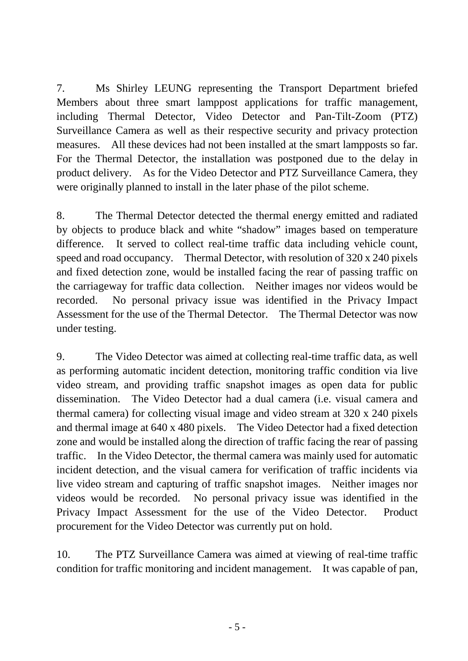7. Ms Shirley LEUNG representing the Transport Department briefed Members about three smart lamppost applications for traffic management, including Thermal Detector, Video Detector and Pan-Tilt-Zoom (PTZ) Surveillance Camera as well as their respective security and privacy protection measures. All these devices had not been installed at the smart lampposts so far. For the Thermal Detector, the installation was postponed due to the delay in product delivery. As for the Video Detector and PTZ Surveillance Camera, they were originally planned to install in the later phase of the pilot scheme.

8. The Thermal Detector detected the thermal energy emitted and radiated by objects to produce black and white "shadow" images based on temperature difference. It served to collect real-time traffic data including vehicle count, speed and road occupancy. Thermal Detector, with resolution of 320 x 240 pixels and fixed detection zone, would be installed facing the rear of passing traffic on the carriageway for traffic data collection. Neither images nor videos would be recorded. No personal privacy issue was identified in the Privacy Impact Assessment for the use of the Thermal Detector. The Thermal Detector was now under testing.

9. The Video Detector was aimed at collecting real-time traffic data, as well as performing automatic incident detection, monitoring traffic condition via live video stream, and providing traffic snapshot images as open data for public dissemination. The Video Detector had a dual camera (i.e. visual camera and thermal camera) for collecting visual image and video stream at 320 x 240 pixels and thermal image at 640 x 480 pixels. The Video Detector had a fixed detection zone and would be installed along the direction of traffic facing the rear of passing traffic. In the Video Detector, the thermal camera was mainly used for automatic incident detection, and the visual camera for verification of traffic incidents via live video stream and capturing of traffic snapshot images. Neither images nor videos would be recorded. No personal privacy issue was identified in the Privacy Impact Assessment for the use of the Video Detector. Product procurement for the Video Detector was currently put on hold.

10. The PTZ Surveillance Camera was aimed at viewing of real-time traffic condition for traffic monitoring and incident management. It was capable of pan,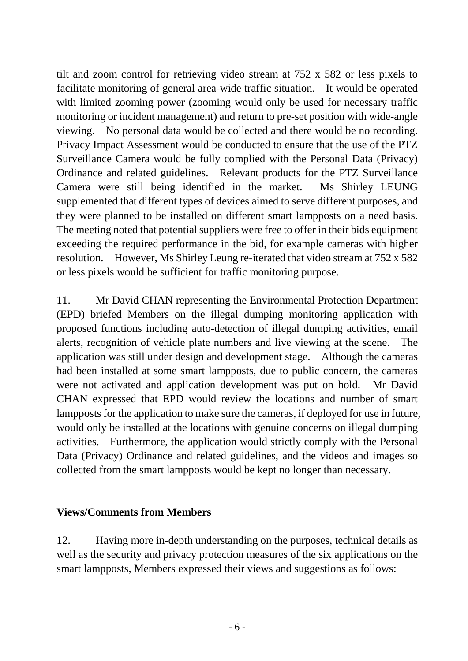tilt and zoom control for retrieving video stream at 752 x 582 or less pixels to facilitate monitoring of general area-wide traffic situation. It would be operated with limited zooming power (zooming would only be used for necessary traffic monitoring or incident management) and return to pre-set position with wide-angle viewing. No personal data would be collected and there would be no recording. Privacy Impact Assessment would be conducted to ensure that the use of the PTZ Surveillance Camera would be fully complied with the Personal Data (Privacy) Ordinance and related guidelines. Relevant products for the PTZ Surveillance Camera were still being identified in the market. Ms Shirley LEUNG supplemented that different types of devices aimed to serve different purposes, and they were planned to be installed on different smart lampposts on a need basis. The meeting noted that potential suppliers were free to offer in their bids equipment exceeding the required performance in the bid, for example cameras with higher resolution. However, Ms Shirley Leung re-iterated that video stream at 752 x 582 or less pixels would be sufficient for traffic monitoring purpose.

11. Mr David CHAN representing the Environmental Protection Department (EPD) briefed Members on the illegal dumping monitoring application with proposed functions including auto-detection of illegal dumping activities, email alerts, recognition of vehicle plate numbers and live viewing at the scene. The application was still under design and development stage. Although the cameras had been installed at some smart lampposts, due to public concern, the cameras were not activated and application development was put on hold. Mr David CHAN expressed that EPD would review the locations and number of smart lampposts for the application to make sure the cameras, if deployed for use in future, would only be installed at the locations with genuine concerns on illegal dumping activities. Furthermore, the application would strictly comply with the Personal Data (Privacy) Ordinance and related guidelines, and the videos and images so collected from the smart lampposts would be kept no longer than necessary.

#### **Views/Comments from Members**

12. Having more in-depth understanding on the purposes, technical details as well as the security and privacy protection measures of the six applications on the smart lampposts, Members expressed their views and suggestions as follows: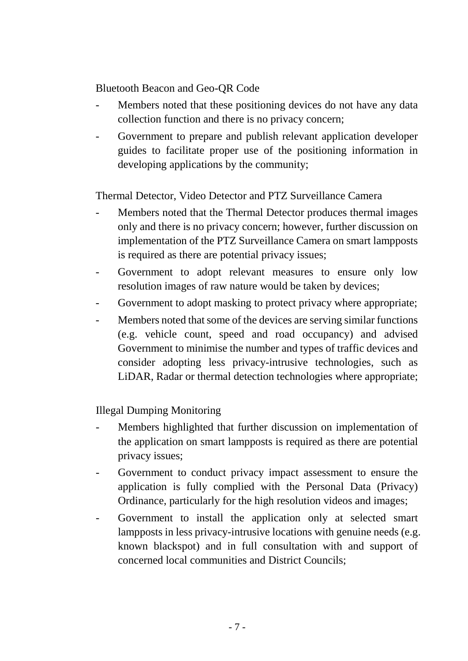Bluetooth Beacon and Geo-QR Code

- Members noted that these positioning devices do not have any data collection function and there is no privacy concern;
- Government to prepare and publish relevant application developer guides to facilitate proper use of the positioning information in developing applications by the community;

Thermal Detector, Video Detector and PTZ Surveillance Camera

- Members noted that the Thermal Detector produces thermal images only and there is no privacy concern; however, further discussion on implementation of the PTZ Surveillance Camera on smart lampposts is required as there are potential privacy issues;
- Government to adopt relevant measures to ensure only low resolution images of raw nature would be taken by devices;
- Government to adopt masking to protect privacy where appropriate;
- Members noted that some of the devices are serving similar functions (e.g. vehicle count, speed and road occupancy) and advised Government to minimise the number and types of traffic devices and consider adopting less privacy-intrusive technologies, such as LiDAR, Radar or thermal detection technologies where appropriate;

Illegal Dumping Monitoring

- Members highlighted that further discussion on implementation of the application on smart lampposts is required as there are potential privacy issues;
- Government to conduct privacy impact assessment to ensure the application is fully complied with the Personal Data (Privacy) Ordinance, particularly for the high resolution videos and images;
- Government to install the application only at selected smart lampposts in less privacy-intrusive locations with genuine needs (e.g. known blackspot) and in full consultation with and support of concerned local communities and District Councils;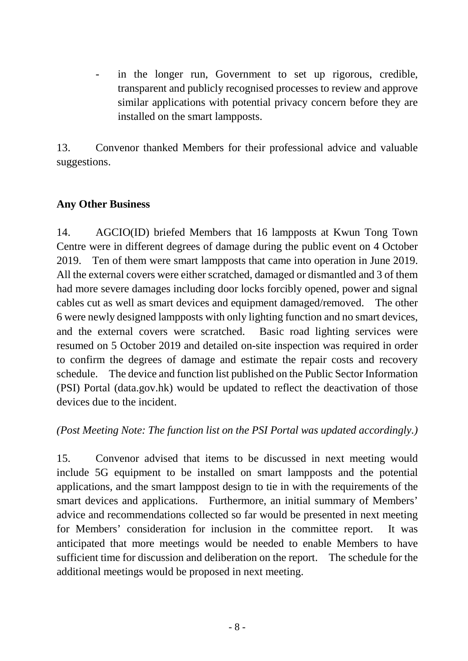in the longer run, Government to set up rigorous, credible, transparent and publicly recognised processes to review and approve similar applications with potential privacy concern before they are installed on the smart lampposts.

13. Convenor thanked Members for their professional advice and valuable suggestions.

### **Any Other Business**

14. AGCIO(ID) briefed Members that 16 lampposts at Kwun Tong Town Centre were in different degrees of damage during the public event on 4 October 2019. Ten of them were smart lampposts that came into operation in June 2019. All the external covers were either scratched, damaged or dismantled and 3 of them had more severe damages including door locks forcibly opened, power and signal cables cut as well as smart devices and equipment damaged/removed. The other 6 were newly designed lampposts with only lighting function and no smart devices, and the external covers were scratched. Basic road lighting services were resumed on 5 October 2019 and detailed on-site inspection was required in order to confirm the degrees of damage and estimate the repair costs and recovery schedule. The device and function list published on the Public Sector Information (PSI) Portal (data.gov.hk) would be updated to reflect the deactivation of those devices due to the incident.

### *(Post Meeting Note: The function list on the PSI Portal was updated accordingly.)*

15. Convenor advised that items to be discussed in next meeting would include 5G equipment to be installed on smart lampposts and the potential applications, and the smart lamppost design to tie in with the requirements of the smart devices and applications. Furthermore, an initial summary of Members' advice and recommendations collected so far would be presented in next meeting for Members' consideration for inclusion in the committee report. It was anticipated that more meetings would be needed to enable Members to have sufficient time for discussion and deliberation on the report. The schedule for the additional meetings would be proposed in next meeting.